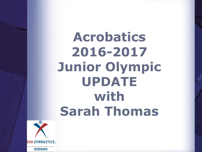**Acrobatics 2016-2017 Junior Olympic UPDATE with Sarah Thomas**

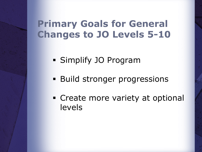### **Primary Goals for General Changes to JO Levels 5-10**

- § Simplify JO Program
- **Build stronger progressions**
- Create more variety at optional levels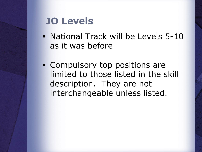### **JO Levels**

- National Track will be Levels 5-10 as it was before
- Compulsory top positions are limited to those listed in the skill description. They are not interchangeable unless listed.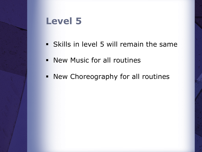- § Skills in level 5 will remain the same
- New Music for all routines
- § New Choreography for all routines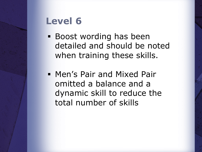- § Boost wording has been detailed and should be noted when training these skills.
- § Men's Pair and Mixed Pair omitted a balance and a dynamic skill to reduce the total number of skills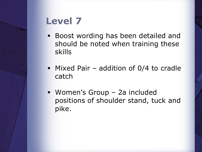- Boost wording has been detailed and should be noted when training these skills
- **Mixed Pair addition of 0/4 to cradle** catch
- § Women's Group 2a included positions of shoulder stand, tuck and pike.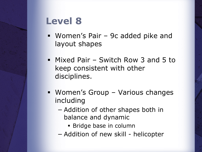- § Women's Pair 9c added pike and layout shapes
- § Mixed Pair Switch Row 3 and 5 to keep consistent with other disciplines.
- § Women's Group Various changes including
	- − Addition of other shapes both in balance and dynamic
		- **Bridge base in column**
	- − Addition of new skill helicopter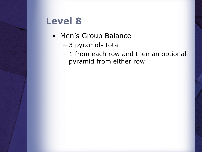- § Men's Group Balance
	- − 3 pyramids total
	- − 1 from each row and then an optional pyramid from either row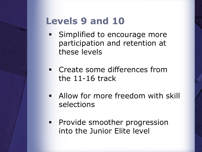### **Levels 9 and 10**

- **Simplified to encourage more** participation and retention at these levels
- Create some differences from the 11-16 track
- § Allow for more freedom with skill selections
- **Provide smoother progression** into the Junior Elite level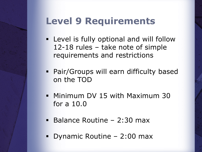# **Level 9 Requirements**

- **Example 1 Level is fully optional and will follow** 12-18 rules – take note of simple requirements and restrictions
- § Pair/Groups will earn difficulty based on the TOD
- § Minimum DV 15 with Maximum 30 for a 10.0
- § Balance Routine 2:30 max
- § Dynamic Routine 2:00 max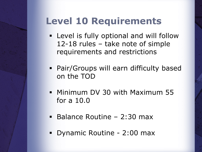### **Level 10 Requirements**

- **Example 1** Level is fully optional and will follow 12-18 rules – take note of simple requirements and restrictions
- § Pair/Groups will earn difficulty based on the TOD
- § Minimum DV 30 with Maximum 55 for a 10.0
- § Balance Routine 2:30 max
- § Dynamic Routine 2:00 max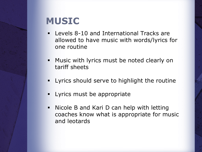### **MUSIC**

- § Levels 8-10 and International Tracks are allowed to have music with words/lyrics for one routine
- **■** Music with lyrics must be noted clearly on tariff sheets
- § Lyrics should serve to highlight the routine
- Lyrics must be appropriate
- § Nicole B and Kari D can help with letting coaches know what is appropriate for music and leotards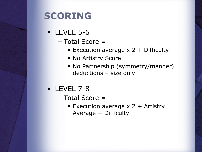### **SCORING**

- § LEVEL 5-6
	- − Total Score =
		- Execution average  $x$  2 + Difficulty
		- § No Artistry Score
		- § No Partnership (symmetry/manner) deductions – size only
- § LEVEL 7-8
	- − Total Score =
		- Execution average  $x$  2 + Artistry Average + Difficulty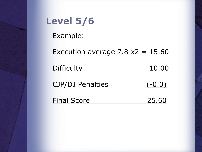# **Level 5/6**

Example:

Execution average  $7.8 \times 2 = 15.60$ Difficulty 10.00 CJP/DJ Penalties (-0.0) Final Score 25.60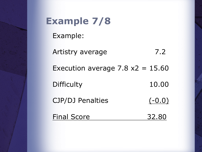| <b>Example 7/8</b>                  |          |
|-------------------------------------|----------|
| Example:                            |          |
| Artistry average                    | 7.2      |
| Execution average 7.8 $x^2$ = 15.60 |          |
| <b>Difficulty</b>                   | 10.00    |
| <b>CJP/DJ Penalties</b>             | $(-0.0)$ |
| <b>Final Score</b>                  | 32.8     |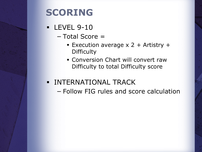### **SCORING**

- § LEVEL 9-10
	- − Total Score =
		- Execution average  $x$  2 + Artistry + **Difficulty**
		- Conversion Chart will convert raw Difficulty to total Difficulty score
- **INTERNATIONAL TRACK** 
	- − Follow FIG rules and score calculation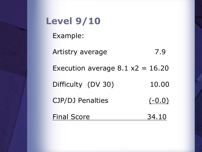| <b>Level 9/10</b>                  |          |
|------------------------------------|----------|
| Example:                           |          |
| Artistry average                   | 7.9      |
| Execution average $8.1 x2 = 16.20$ |          |
| Difficulty (DV 30)                 | 10.00    |
| <b>CJP/DJ Penalties</b>            | $(-0.0)$ |
| <b>Final Score</b>                 | 34.10    |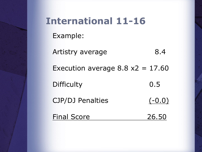# **International 11-16** Example: Artistry average 8.4 Execution average  $8.8 \times 2 = 17.60$ Difficulty 0.5 CJP/DJ Penalties (-0.0) Final Score 26.50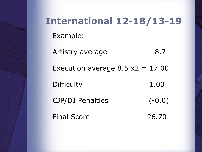# **International 12-18/13-19** Example: Artistry average 8.7 Execution average  $8.5 \times 2 = 17.00$ Difficulty 1.00 CJP/DJ Penalties (-0.0) Final Score 26.70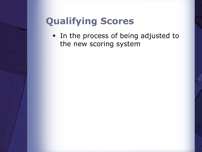# **Qualifying Scores**

§ In the process of being adjusted to the new scoring system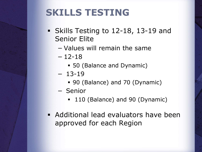# **SKILLS TESTING**

- § Skills Testing to 12-18, 13-19 and Senior Elite
	- − Values will remain the same
	- $-12-18$ 
		- § 50 (Balance and Dynamic)
	- − 13-19
		- § 90 (Balance) and 70 (Dynamic)
	- − Senior
		- 110 (Balance) and 90 (Dynamic)
- **Additional lead evaluators have been** approved for each Region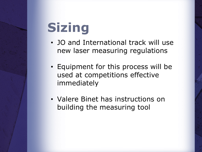# **Sizing**

- JO and International track will use new laser measuring regulations
- Equipment for this process will be used at competitions effective immediately
- Valere Binet has instructions on building the measuring tool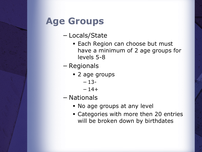# **Age Groups**

- − Locals/State
	- Each Region can choose but must have a minimum of 2 age groups for levels 5-8
- − Regionals
	- § 2 age groups

```
− 13-
```

```
-14+
```
- − Nationals
	- No age groups at any level
	- § Categories with more then 20 entries will be broken down by birthdates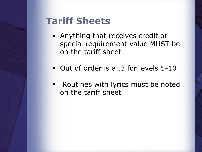# **Tariff Sheets**

- § Anything that receives credit or special requirement value MUST be on the tariff sheet
- Out of order is a .3 for levels 5-10
- § Routines with lyrics must be noted on the tariff sheet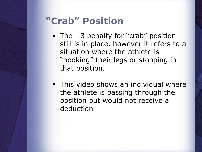# **"Crab" Position**

- The -.3 penalty for "crab" position still is in place, however it refers to a situation where the athlete is "hooking" their legs or stopping in that position.
- **This video shows an individual where** the athlete is passing through the position but would not receive a deduction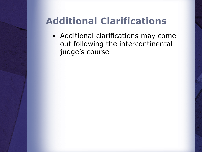# **Additional Clarifications**

**• Additional clarifications may come** out following the intercontinental judge's course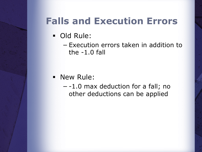### **Falls and Execution Errors**

- § Old Rule:
	- − Execution errors taken in addition to the -1.0 fall

- § New Rule:
	- − -1.0 max deduction for a fall; no other deductions can be applied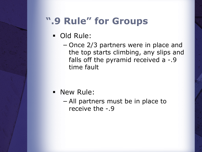### **".9 Rule" for Groups**

- § Old Rule:
	- − Once 2/3 partners were in place and the top starts climbing, any slips and falls off the pyramid received a -.9 time fault

- § New Rule:
	- − All partners must be in place to receive the -.9